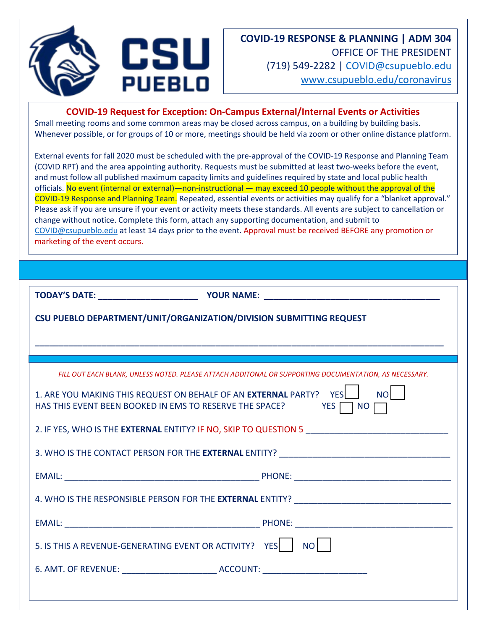



**COVID-19 Request for Exception: On-Campus External/Internal Events or Activities**

Small meeting rooms and some common areas may be closed across campus, on a building by building basis. Whenever possible, or for groups of 10 or more, meetings should be held via zoom or other online distance platform.

External events for fall 2020 must be scheduled with the pre-approval of the COVID-19 Response and Planning Team (COVID RPT) and the area appointing authority. Requests must be submitted at least two-weeks before the event, and must follow all published maximum capacity limits and guidelines required by state and local public health officials. No event (internal or external)—non-instructional — may exceed 10 people without the approval of the COVID-19 Response and Planning Team. Repeated, essential events or activities may qualify for a "blanket approval." Please ask if you are unsure if your event or activity meets these standards. All events are subject to cancellation or change without notice. Complete this form, attach any supporting documentation, and submit to [COVID@csupueblo.edu](mailto:COVID@csupueblo.edu) at least 14 days prior to the event. Approval must be received BEFORE any promotion or marketing of the event occurs.

**TODAY'S DATE: WE SEE A POUR NAME:** 

**\_\_\_\_\_\_\_\_\_\_\_\_\_\_\_\_\_\_\_\_\_\_\_\_\_\_\_\_\_\_\_\_\_\_\_\_\_\_\_\_\_\_\_\_\_\_\_\_\_\_\_\_\_\_\_\_\_\_\_\_\_\_\_\_\_\_\_\_\_\_\_\_\_\_\_\_\_\_\_\_\_\_\_\_\_\_**

**CSU PUEBLO DEPARTMENT/UNIT/ORGANIZATION/DIVISION SUBMITTING REQUEST**

| FILL OUT EACH BLANK, UNLESS NOTED, PLEASE ATTACH ADDITONAL OR SUPPORTING DOCUMENTATION, AS NECESSARY.                                                                       |
|-----------------------------------------------------------------------------------------------------------------------------------------------------------------------------|
| 1. ARE YOU MAKING THIS REQUEST ON BEHALF OF AN EXTERNAL PARTY? YES<br><b>NO</b><br>HAS THIS EVENT BEEN BOOKED IN EMS TO RESERVE THE SPACE?<br><b>EXAMPLE STATES</b><br>  NO |
|                                                                                                                                                                             |
|                                                                                                                                                                             |
|                                                                                                                                                                             |
|                                                                                                                                                                             |
|                                                                                                                                                                             |
| 5. IS THIS A REVENUE-GENERATING EVENT OR ACTIVITY? YES   NO                                                                                                                 |
|                                                                                                                                                                             |
|                                                                                                                                                                             |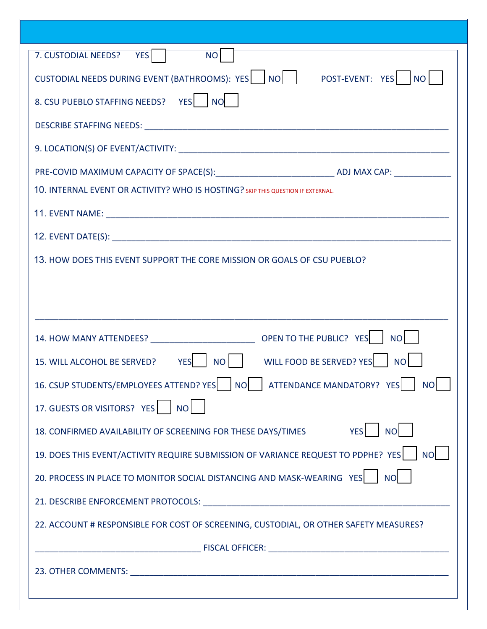| 7. CUSTODIAL NEEDS? YES NO                                                               |
|------------------------------------------------------------------------------------------|
| CUSTODIAL NEEDS DURING EVENT (BATHROOMS): YES $\Box$ NO $\Box$ POST-EVENT: YES $\Box$ NO |
| 8. CSU PUEBLO STAFFING NEEDS? YES   NO                                                   |
|                                                                                          |
|                                                                                          |
|                                                                                          |
| 10. INTERNAL EVENT OR ACTIVITY? WHO IS HOSTING? SKIP THIS QUESTION IF EXTERNAL.          |
|                                                                                          |
|                                                                                          |
| 13. HOW DOES THIS EVENT SUPPORT THE CORE MISSION OR GOALS OF CSU PUEBLO?                 |
|                                                                                          |
|                                                                                          |
|                                                                                          |
| 15. WILL ALCOHOL BE SERVED? YES NO WILL FOOD BE SERVED? YES NO                           |
|                                                                                          |
|                                                                                          |
| 17. GUESTS OR VISITORS? YES   NO                                                         |
| 18. CONFIRMED AVAILABILITY OF SCREENING FOR THESE DAYS/TIMES YES   NO                    |
| 19. DOES THIS EVENT/ACTIVITY REQUIRE SUBMISSION OF VARIANCE REQUEST TO PDPHE? YES   NO   |
| 20. PROCESS IN PLACE TO MONITOR SOCIAL DISTANCING AND MASK-WEARING YES   NO              |
|                                                                                          |
| 22. ACCOUNT # RESPONSIBLE FOR COST OF SCREENING, CUSTODIAL, OR OTHER SAFETY MEASURES?    |
|                                                                                          |
|                                                                                          |
|                                                                                          |